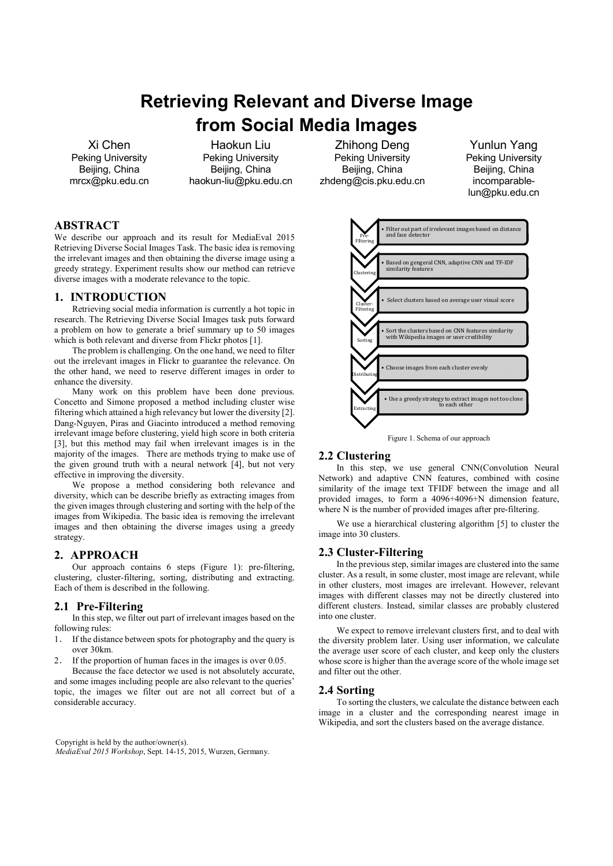# Retrieving Relevant and Diverse Image from Social Media Images

Xi Chen Peking University Beijing, China mrcx@pku.edu.cn

Haokun Liu Peking University Beijing, China haokun-liu@pku.edu.cn

# ABSTRACT

We describe our approach and its result for MediaEval 2015 Retrieving Diverse Social Images Task. The basic idea is removing the irrelevant images and then obtaining the diverse image using a greedy strategy. Experiment results show our method can retrieve diverse images with a moderate relevance to the topic.

## 1. INTRODUCTION

Retrieving social media information is currently a hot topic in research. The Retrieving Diverse Social Images task puts forward a problem on how to generate a brief summary up to 50 images which is both relevant and diverse from Flickr photos [1].

The problem is challenging. On the one hand, we need to filter out the irrelevant images in Flickr to guarantee the relevance. On the other hand, we need to reserve different images in order to enhance the diversity.

Many work on this problem have been done previous. Concetto and Simone proposed a method including cluster wise filtering which attained a high relevancy but lower the diversity [2]. Dang-Nguyen, Piras and Giacinto introduced a method removing irrelevant image before clustering, yield high score in both criteria [3], but this method may fail when irrelevant images is in the majority of the images. There are methods trying to make use of the given ground truth with a neural network [4], but not very effective in improving the diversity.

We propose a method considering both relevance and diversity, which can be describe briefly as extracting images from the given images through clustering and sorting with the help of the images from Wikipedia. The basic idea is removing the irrelevant images and then obtaining the diverse images using a greedy strategy.

# 2. APPROACH

Our approach contains 6 steps (Figure 1): pre-filtering, clustering, cluster-filtering, sorting, distributing and extracting. Each of them is described in the following.

# 2.1 Pre-Filtering

In this step, we filter out part of irrelevant images based on the following rules:

- 1. If the distance between spots for photography and the query is over 30km.
- 2. If the proportion of human faces in the images is over 0.05.

Because the face detector we used is not absolutely accurate, and some images including people are also relevant to the queries' topic, the images we filter out are not all correct but of a considerable accuracy.

Copyright is held by the author/owner(s). MediaEval 2015 Workshop, Sept. 14-15, 2015, Wurzen, Germany.

Zhihong Deng Peking University Beijing, China zhdeng@cis.pku.edu.cn

Yunlun Yang Peking University Beijing, China incomparablelun@pku.edu.cn



Figure 1. Schema of our approach

#### 2.2 Clustering

In this step, we use general CNN(Convolution Neural Network) and adaptive CNN features, combined with cosine similarity of the image text TFIDF between the image and all provided images, to form a 4096+4096+N dimension feature, where N is the number of provided images after pre-filtering.

 We use a hierarchical clustering algorithm [5] to cluster the image into 30 clusters.

#### 2.3 Cluster-Filtering

 In the previous step, similar images are clustered into the same cluster. As a result, in some cluster, most image are relevant, while in other clusters, most images are irrelevant. However, relevant images with different classes may not be directly clustered into different clusters. Instead, similar classes are probably clustered into one cluster.

 We expect to remove irrelevant clusters first, and to deal with the diversity problem later. Using user information, we calculate the average user score of each cluster, and keep only the clusters whose score is higher than the average score of the whole image set and filter out the other.

#### 2.4 Sorting

 To sorting the clusters, we calculate the distance between each image in a cluster and the corresponding nearest image in Wikipedia, and sort the clusters based on the average distance.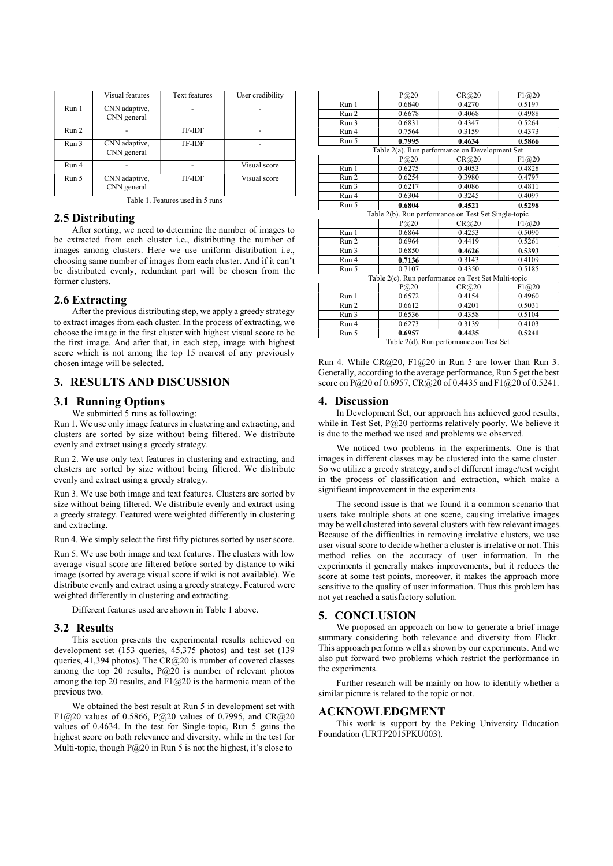|       | Visual features              | <b>Text features</b> | User credibility |
|-------|------------------------------|----------------------|------------------|
| Run 1 | CNN adaptive,<br>CNN general |                      |                  |
| Run 2 |                              | TF-IDF               |                  |
| Run 3 | CNN adaptive,<br>CNN general | TF-IDF               |                  |
| Run 4 |                              |                      | Visual score     |
| Run 5 | CNN adaptive,<br>CNN general | TF-IDF               | Visual score     |

Table 1. Features used in 5 runs

#### 2.5 Distributing

 After sorting, we need to determine the number of images to be extracted from each cluster i.e., distributing the number of images among clusters. Here we use uniform distribution i.e., choosing same number of images from each cluster. And if it can't be distributed evenly, redundant part will be chosen from the former clusters.

#### 2.6 Extracting

 After the previous distributing step, we apply a greedy strategy to extract images from each cluster. In the process of extracting, we choose the image in the first cluster with highest visual score to be the first image. And after that, in each step, image with highest score which is not among the top 15 nearest of any previously chosen image will be selected.

# 3. RESULTS AND DISCUSSION

## 3.1 Running Options

We submitted 5 runs as following:

Run 1. We use only image features in clustering and extracting, and clusters are sorted by size without being filtered. We distribute evenly and extract using a greedy strategy.

Run 2. We use only text features in clustering and extracting, and clusters are sorted by size without being filtered. We distribute evenly and extract using a greedy strategy.

Run 3. We use both image and text features. Clusters are sorted by size without being filtered. We distribute evenly and extract using a greedy strategy. Featured were weighted differently in clustering and extracting.

Run 4. We simply select the first fifty pictures sorted by user score.

Run 5. We use both image and text features. The clusters with low average visual score are filtered before sorted by distance to wiki image (sorted by average visual score if wiki is not available). We distribute evenly and extract using a greedy strategy. Featured were weighted differently in clustering and extracting.

Different features used are shown in Table 1 above.

# 3.2 Results

 This section presents the experimental results achieved on development set (153 queries, 45,375 photos) and test set (139 queries, 41,394 photos). The CR@20 is number of covered classes among the top 20 results, P@20 is number of relevant photos among the top 20 results, and  $F1@20$  is the harmonic mean of the previous two.

We obtained the best result at Run 5 in development set with F1@20 values of 0.5866, P@20 values of 0.7995, and CR@20 values of 0.4634. In the test for Single-topic, Run 5 gains the highest score on both relevance and diversity, while in the test for Multi-topic, though  $P@20$  in Run 5 is not the highest, it's close to

|                                                      | P(@20)                  | CR@20                                      | F1@20  |  |  |
|------------------------------------------------------|-------------------------|--------------------------------------------|--------|--|--|
| Run 1                                                | 0.6840                  | 0.4270                                     | 0.5197 |  |  |
| Run 2                                                | 0.6678                  | 0.4068                                     | 0.4988 |  |  |
| Run 3                                                | 0.6831                  | 0.4347                                     | 0.5264 |  |  |
| Run 4                                                | 0.7564                  | 0.3159                                     | 0.4373 |  |  |
| Run 5                                                | 0.7995                  | 0.4634                                     | 0.5866 |  |  |
| Table 2(a). Run performance on Development Set       |                         |                                            |        |  |  |
|                                                      | P@20                    | CR@20                                      | F1@20  |  |  |
| Run 1                                                | 0.6275                  | 0.4053                                     | 0.4828 |  |  |
| Run 2                                                | 0.6254                  | 0.3980                                     | 0.4797 |  |  |
| Run 3                                                | 0.6217                  | 0.4086                                     | 0.4811 |  |  |
| Run 4                                                | 0.6304                  | 0.3245                                     | 0.4097 |  |  |
| Run 5                                                | 0.6804                  | 0.4521                                     | 0.5298 |  |  |
| Table 2(b). Run performance on Test Set Single-topic |                         |                                            |        |  |  |
|                                                      | P(@20)                  | CR@20                                      | F1@20  |  |  |
| Run 1                                                | 0.6864                  | 0.4253                                     | 0.5090 |  |  |
| Run 2                                                | 0.6964                  | 0.4419                                     | 0.5261 |  |  |
| Run 3                                                | 0.6850                  | 0.4626                                     | 0.5393 |  |  |
| Run 4                                                | 0.7136                  | 0.3143                                     | 0.4109 |  |  |
| Run 5                                                | 0.7107                  | 0.4350                                     | 0.5185 |  |  |
| Table 2(c). Run performance on Test Set Multi-topic  |                         |                                            |        |  |  |
|                                                      | $P$ <sub>(a)</sub> 20   | CR@20                                      | F1@20  |  |  |
| Run 1                                                | 0.6572                  | 0.4154                                     | 0.4960 |  |  |
| Run 2                                                | 0.6612                  | 0.4201                                     | 0.5031 |  |  |
| Run 3                                                | 0.6536                  | 0.4358                                     | 0.5104 |  |  |
| Run 4                                                | 0.6273                  | 0.3139                                     | 0.4103 |  |  |
| Run 5                                                | 0.6957<br>$T = 11.8(1)$ | 0.4435<br>$\overline{a}$<br>$\overline{ }$ | 0.5241 |  |  |

Table 2(d). Run performance on Test Set

Run 4. While  $CR@20$ ,  $Fl@20$  in Run 5 are lower than Run 3. Generally, according to the average performance, Run 5 get the best score on P@20 of 0.6957, CR@20 of 0.4435 and F1@20 of 0.5241.

#### 4. Discussion

In Development Set, our approach has achieved good results, while in Test Set,  $P(@20$  performs relatively poorly. We believe it is due to the method we used and problems we observed.

 We noticed two problems in the experiments. One is that images in different classes may be clustered into the same cluster. So we utilize a greedy strategy, and set different image/test weight in the process of classification and extraction, which make a significant improvement in the experiments.

 The second issue is that we found it a common scenario that users take multiple shots at one scene, causing irrelative images may be well clustered into several clusters with few relevant images. Because of the difficulties in removing irrelative clusters, we use user visual score to decide whether a cluster is irrelative or not. This method relies on the accuracy of user information. In the experiments it generally makes improvements, but it reduces the score at some test points, moreover, it makes the approach more sensitive to the quality of user information. Thus this problem has not yet reached a satisfactory solution.

#### 5. CONCLUSION

We proposed an approach on how to generate a brief image summary considering both relevance and diversity from Flickr. This approach performs well as shown by our experiments. And we also put forward two problems which restrict the performance in the experiments.

 Further research will be mainly on how to identify whether a similar picture is related to the topic or not.

#### ACKNOWLEDGMENT

This work is support by the Peking University Education Foundation (URTP2015PKU003).